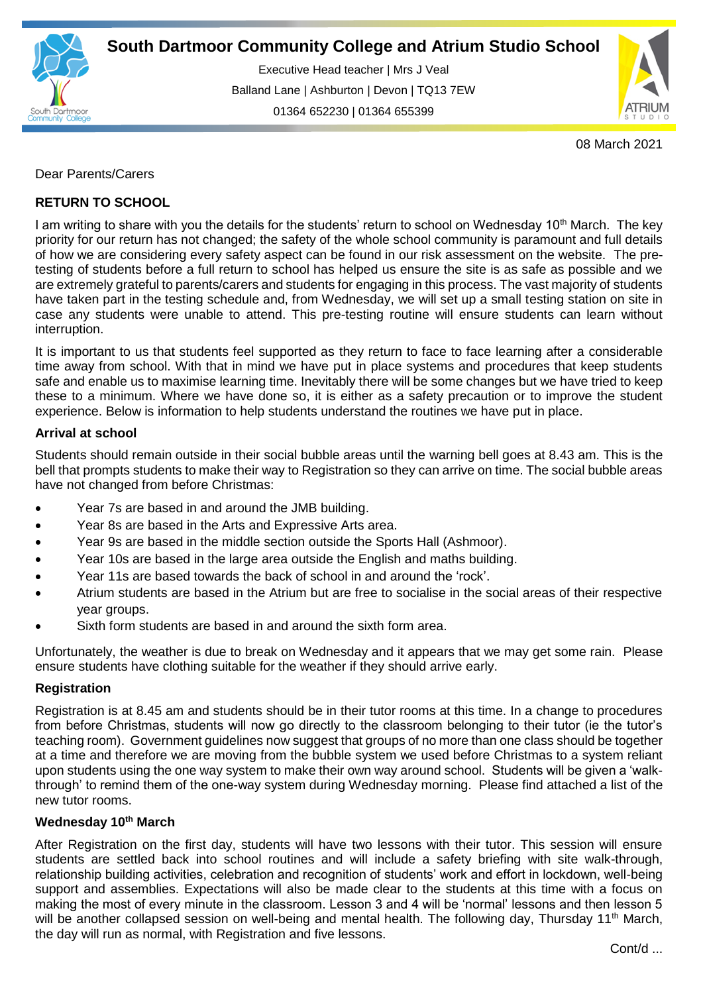

Executive Head teacher | Mrs J Veal Balland Lane | Ashburton | Devon | TQ13 7EW 01364 652230 | 01364 655399

ww.south.uk | [www.atrium-studio.co.uk](http://www.atrium-studio.co.uk/) | www.atrium-studio.co.uk



08 March 2021

# Dear Parents/Carers

# **RETURN TO SCHOOL**

I am writing to share with you the details for the students' return to school on Wednesday 10<sup>th</sup> March. The key priority for our return has not changed; the safety of the whole school community is paramount and full details of how we are considering every safety aspect can be found in our risk assessment on the website. The pretesting of students before a full return to school has helped us ensure the site is as safe as possible and we are extremely grateful to parents/carers and students for engaging in this process. The vast majority of students have taken part in the testing schedule and, from Wednesday, we will set up a small testing station on site in case any students were unable to attend. This pre-testing routine will ensure students can learn without interruption.

It is important to us that students feel supported as they return to face to face learning after a considerable time away from school. With that in mind we have put in place systems and procedures that keep students safe and enable us to maximise learning time. Inevitably there will be some changes but we have tried to keep these to a minimum. Where we have done so, it is either as a safety precaution or to improve the student experience. Below is information to help students understand the routines we have put in place.

# **Arrival at school**

Students should remain outside in their social bubble areas until the warning bell goes at 8.43 am. This is the bell that prompts students to make their way to Registration so they can arrive on time. The social bubble areas have not changed from before Christmas:

- Year 7s are based in and around the JMB building.
- Year 8s are based in the Arts and Expressive Arts area.
- Year 9s are based in the middle section outside the Sports Hall (Ashmoor).
- Year 10s are based in the large area outside the English and maths building.
- Year 11s are based towards the back of school in and around the 'rock'.
- Atrium students are based in the Atrium but are free to socialise in the social areas of their respective year groups.
- Sixth form students are based in and around the sixth form area.

Unfortunately, the weather is due to break on Wednesday and it appears that we may get some rain. Please ensure students have clothing suitable for the weather if they should arrive early.

# **Registration**

Registration is at 8.45 am and students should be in their tutor rooms at this time. In a change to procedures from before Christmas, students will now go directly to the classroom belonging to their tutor (ie the tutor's teaching room). Government guidelines now suggest that groups of no more than one class should be together at a time and therefore we are moving from the bubble system we used before Christmas to a system reliant upon students using the one way system to make their own way around school. Students will be given a 'walkthrough' to remind them of the one-way system during Wednesday morning. Please find attached a list of the new tutor rooms.

# **Wednesday 10th March**

After Registration on the first day, students will have two lessons with their tutor. This session will ensure students are settled back into school routines and will include a safety briefing with site walk-through, relationship building activities, celebration and recognition of students' work and effort in lockdown, well-being support and assemblies. Expectations will also be made clear to the students at this time with a focus on making the most of every minute in the classroom. Lesson 3 and 4 will be 'normal' lessons and then lesson 5 will be another collapsed session on well-being and mental health. The following day, Thursday 11<sup>th</sup> March, the day will run as normal, with Registration and five lessons.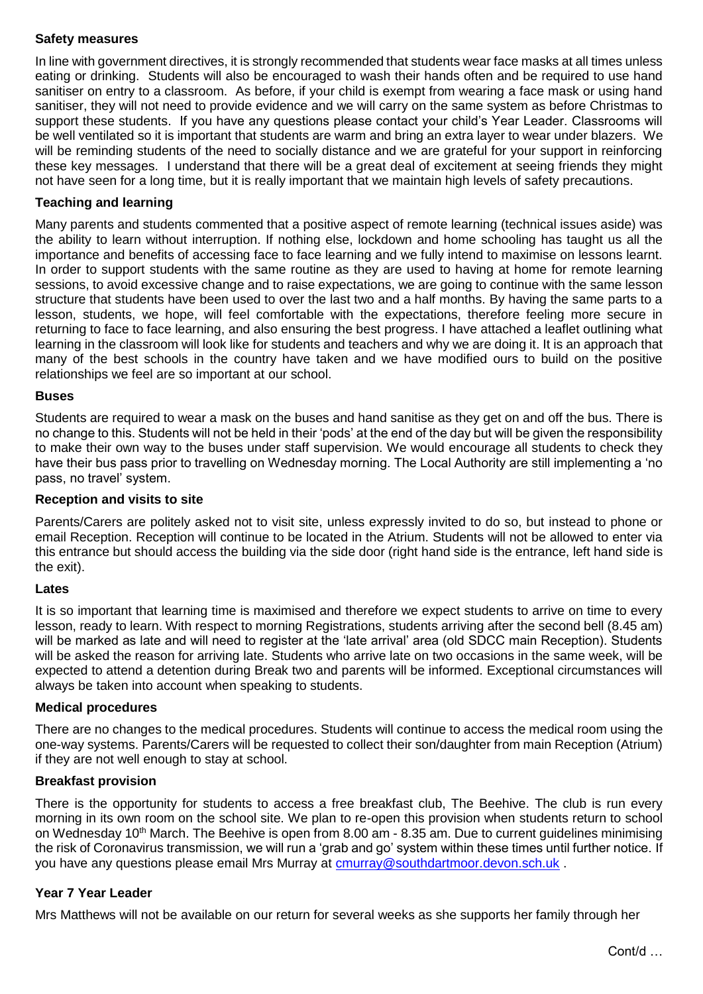# **Safety measures**

In line with government directives, it is strongly recommended that students wear face masks at all times unless eating or drinking. Students will also be encouraged to wash their hands often and be required to use hand sanitiser on entry to a classroom. As before, if your child is exempt from wearing a face mask or using hand sanitiser, they will not need to provide evidence and we will carry on the same system as before Christmas to support these students. If you have any questions please contact your child's Year Leader. Classrooms will be well ventilated so it is important that students are warm and bring an extra layer to wear under blazers. We will be reminding students of the need to socially distance and we are grateful for your support in reinforcing these key messages. I understand that there will be a great deal of excitement at seeing friends they might not have seen for a long time, but it is really important that we maintain high levels of safety precautions.

# **Teaching and learning**

Many parents and students commented that a positive aspect of remote learning (technical issues aside) was the ability to learn without interruption. If nothing else, lockdown and home schooling has taught us all the importance and benefits of accessing face to face learning and we fully intend to maximise on lessons learnt. In order to support students with the same routine as they are used to having at home for remote learning sessions, to avoid excessive change and to raise expectations, we are going to continue with the same lesson structure that students have been used to over the last two and a half months. By having the same parts to a lesson, students, we hope, will feel comfortable with the expectations, therefore feeling more secure in returning to face to face learning, and also ensuring the best progress. I have attached a leaflet outlining what learning in the classroom will look like for students and teachers and why we are doing it. It is an approach that many of the best schools in the country have taken and we have modified ours to build on the positive relationships we feel are so important at our school.

### **Buses**

Students are required to wear a mask on the buses and hand sanitise as they get on and off the bus. There is no change to this. Students will not be held in their 'pods' at the end of the day but will be given the responsibility to make their own way to the buses under staff supervision. We would encourage all students to check they have their bus pass prior to travelling on Wednesday morning. The Local Authority are still implementing a 'no pass, no travel' system.

## **Reception and visits to site**

Parents/Carers are politely asked not to visit site, unless expressly invited to do so, but instead to phone or email Reception. Reception will continue to be located in the Atrium. Students will not be allowed to enter via this entrance but should access the building via the side door (right hand side is the entrance, left hand side is the exit).

#### **Lates**

It is so important that learning time is maximised and therefore we expect students to arrive on time to every lesson, ready to learn. With respect to morning Registrations, students arriving after the second bell (8.45 am) will be marked as late and will need to register at the 'late arrival' area (old SDCC main Reception). Students will be asked the reason for arriving late. Students who arrive late on two occasions in the same week, will be expected to attend a detention during Break two and parents will be informed. Exceptional circumstances will always be taken into account when speaking to students.

### **Medical procedures**

There are no changes to the medical procedures. Students will continue to access the medical room using the one-way systems. Parents/Carers will be requested to collect their son/daughter from main Reception (Atrium) if they are not well enough to stay at school.

#### **Breakfast provision**

There is the opportunity for students to access a free breakfast club, The Beehive. The club is run every morning in its own room on the school site. We plan to re-open this provision when students return to school on Wednesday 10<sup>th</sup> March. The Beehive is open from 8.00 am - 8.35 am. Due to current guidelines minimising the risk of Coronavirus transmission, we will run a 'grab and go' system within these times until further notice. If you have any questions please email Mrs Murray at [cmurray@southdartmoor.devon.sch.uk](mailto:cmurray@southdartmoor.devon.sch.uk) .

## **Year 7 Year Leader**

Mrs Matthews will not be available on our return for several weeks as she supports her family through her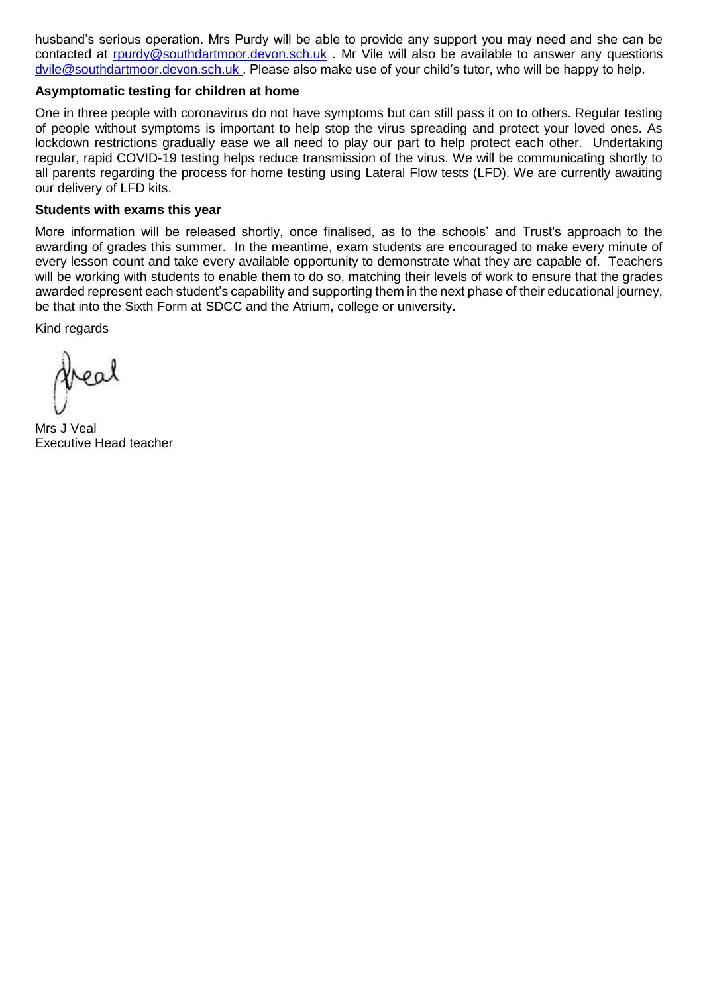husband's serious operation. Mrs Purdy will be able to provide any support you may need and she can be contacted at [rpurdy@southdartmoor.devon.sch.uk](mailto:rpurdy@southdartmoor.devon.sch.uk) . Mr Vile will also be available to answer any questions [dvile@southdartmoor.devon.sch.uk](mailto:dvile@southdartmoor.devon.sch.uk) . Please also make use of your child's tutor, who will be happy to help.

### **Asymptomatic testing for children at home**

One in three people with coronavirus do not have symptoms but can still pass it on to others. Regular testing of people without symptoms is important to help stop the virus spreading and protect your loved ones. As lockdown restrictions gradually ease we all need to play our part to help protect each other. Undertaking regular, rapid COVID-19 testing helps reduce transmission of the virus. We will be communicating shortly to all parents regarding the process for home testing using Lateral Flow tests (LFD). We are currently awaiting our delivery of LFD kits.

### **Students with exams this year**

More information will be released shortly, once finalised, as to the schools' and Trust's approach to the awarding of grades this summer. In the meantime, exam students are encouraged to make every minute of every lesson count and take every available opportunity to demonstrate what they are capable of. Teachers will be working with students to enable them to do so, matching their levels of work to ensure that the grades awarded represent each student's capability and supporting them in the next phase of their educational journey, be that into the Sixth Form at SDCC and the Atrium, college or university.

Kind regards

Mrs J Veal Executive Head teacher